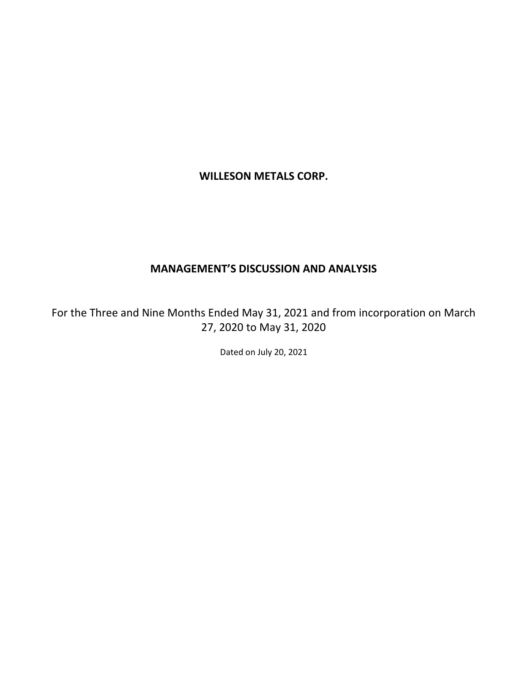# **WILLESON METALS CORP.**

# **MANAGEMENT'S DISCUSSION AND ANALYSIS**

For the Three and Nine Months Ended May 31, 2021 and from incorporation on March 27, 2020 to May 31, 2020

Dated on July 20, 2021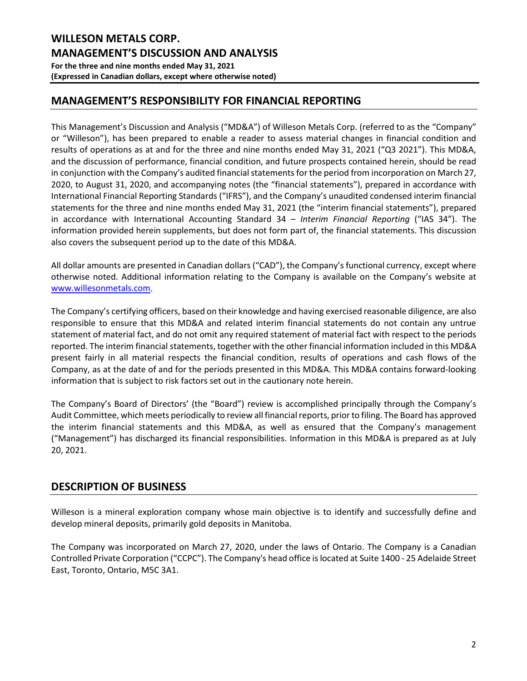# **MANAGEMENT'S RESPONSIBILITY FOR FINANCIAL REPORTING**

This Management's Discussion and Analysis ("MD&A") of Willeson Metals Corp. (referred to as the "Company" or "Willeson"), has been prepared to enable a reader to assess material changes in financial condition and results of operations as at and for the three and nine months ended May 31, 2021 ("Q3 2021"). This MD&A, and the discussion of performance, financial condition, and future prospects contained herein, should be read in conjunction with the Company's audited financial statements for the period from incorporation on March 27, 2020, to August 31, 2020, and accompanying notes (the "financial statements"), prepared in accordance with International Financial Reporting Standards ("IFRS"), and the Company's unaudited condensed interim financial statements for the three and nine months ended May 31, 2021 (the "interim financial statements"), prepared in accordance with International Accounting Standard 34 – *Interim Financial Reporting* ("IAS 34"). The information provided herein supplements, but does not form part of, the financial statements. This discussion also covers the subsequent period up to the date of this MD&A.

All dollar amounts are presented in Canadian dollars ("CAD"), the Company's functional currency, except where otherwise noted. Additional information relating to the Company is available on the Company's website at [www.willesonmetals.com.](http://www.willesonmetals.com/)

The Company's certifying officers, based on their knowledge and having exercised reasonable diligence, are also responsible to ensure that this MD&A and related interim financial statements do not contain any untrue statement of material fact, and do not omit any required statement of material fact with respect to the periods reported. The interim financial statements, together with the other financial information included in this MD&A present fairly in all material respects the financial condition, results of operations and cash flows of the Company, as at the date of and for the periods presented in this MD&A. This MD&A contains forward-looking information that is subject to risk factors set out in the cautionary note herein.

The Company's Board of Directors' (the "Board") review is accomplished principally through the Company's Audit Committee, which meets periodically to review all financial reports, prior to filing. The Board has approved the interim financial statements and this MD&A, as well as ensured that the Company's management ("Management") has discharged its financial responsibilities. Information in this MD&A is prepared as at July 20, 2021.

# **DESCRIPTION OF BUSINESS**

Willeson is a mineral exploration company whose main objective is to identify and successfully define and develop mineral deposits, primarily gold deposits in Manitoba.

The Company was incorporated on March 27, 2020, under the laws of Ontario. The Company is a Canadian Controlled Private Corporation ("CCPC"). The Company's head office is located at Suite 1400 - 25 Adelaide Street East, Toronto, Ontario, M5C 3A1.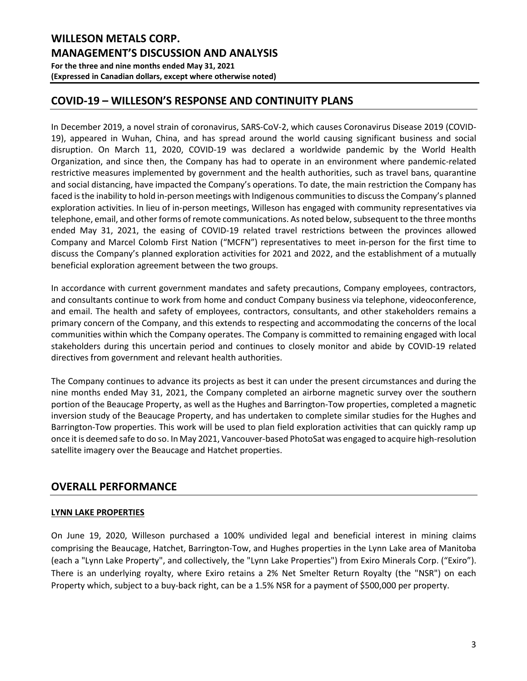# **COVID-19 – WILLESON'S RESPONSE AND CONTINUITY PLANS**

In December 2019, a novel strain of coronavirus, SARS-CoV-2, which causes Coronavirus Disease 2019 (COVID-19), appeared in Wuhan, China, and has spread around the world causing significant business and social disruption. On March 11, 2020, COVID-19 was declared a worldwide pandemic by the World Health Organization, and since then, the Company has had to operate in an environment where pandemic-related restrictive measures implemented by government and the health authorities, such as travel bans, quarantine and social distancing, have impacted the Company's operations. To date, the main restriction the Company has faced is the inability to hold in-person meetings with Indigenous communities to discuss the Company's planned exploration activities. In lieu of in-person meetings, Willeson has engaged with community representatives via telephone, email, and other forms of remote communications. As noted below, subsequent to the three months ended May 31, 2021, the easing of COVID-19 related travel restrictions between the provinces allowed Company and Marcel Colomb First Nation ("MCFN") representatives to meet in-person for the first time to discuss the Company's planned exploration activities for 2021 and 2022, and the establishment of a mutually beneficial exploration agreement between the two groups.

In accordance with current government mandates and safety precautions, Company employees, contractors, and consultants continue to work from home and conduct Company business via telephone, videoconference, and email. The health and safety of employees, contractors, consultants, and other stakeholders remains a primary concern of the Company, and this extends to respecting and accommodating the concerns of the local communities within which the Company operates. The Company is committed to remaining engaged with local stakeholders during this uncertain period and continues to closely monitor and abide by COVID-19 related directives from government and relevant health authorities.

The Company continues to advance its projects as best it can under the present circumstances and during the nine months ended May 31, 2021, the Company completed an airborne magnetic survey over the southern portion of the Beaucage Property, as well as the Hughes and Barrington-Tow properties, completed a magnetic inversion study of the Beaucage Property, and has undertaken to complete similar studies for the Hughes and Barrington-Tow properties. This work will be used to plan field exploration activities that can quickly ramp up once it is deemed safe to do so. In May 2021, Vancouver-based PhotoSat was engaged to acquire high-resolution satellite imagery over the Beaucage and Hatchet properties.

# **OVERALL PERFORMANCE**

### **LYNN LAKE PROPERTIES**

On June 19, 2020, Willeson purchased a 100% undivided legal and beneficial interest in mining claims comprising the Beaucage, Hatchet, Barrington-Tow, and Hughes properties in the Lynn Lake area of Manitoba (each a "Lynn Lake Property", and collectively, the "Lynn Lake Properties") from Exiro Minerals Corp. ("Exiro"). There is an underlying royalty, where Exiro retains a 2% Net Smelter Return Royalty (the "NSR") on each Property which, subject to a buy-back right, can be a 1.5% NSR for a payment of \$500,000 per property.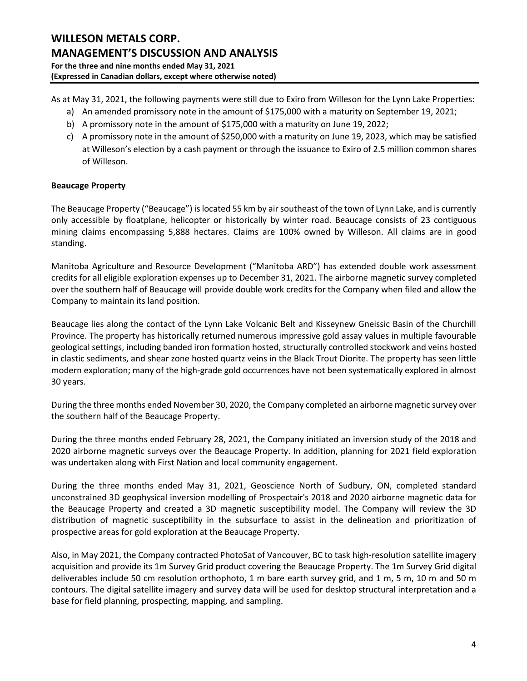As at May 31, 2021, the following payments were still due to Exiro from Willeson for the Lynn Lake Properties:

- a) An amended promissory note in the amount of \$175,000 with a maturity on September 19, 2021;
- b) A promissory note in the amount of \$175,000 with a maturity on June 19, 2022;
- c) A promissory note in the amount of \$250,000 with a maturity on June 19, 2023, which may be satisfied at Willeson's election by a cash payment or through the issuance to Exiro of 2.5 million common shares of Willeson.

### **Beaucage Property**

The Beaucage Property ("Beaucage") is located 55 km by air southeast of the town of Lynn Lake, and is currently only accessible by floatplane, helicopter or historically by winter road. Beaucage consists of 23 contiguous mining claims encompassing 5,888 hectares. Claims are 100% owned by Willeson. All claims are in good standing.

Manitoba Agriculture and Resource Development ("Manitoba ARD") has extended double work assessment credits for all eligible exploration expenses up to December 31, 2021. The airborne magnetic survey completed over the southern half of Beaucage will provide double work credits for the Company when filed and allow the Company to maintain its land position.

Beaucage lies along the contact of the Lynn Lake Volcanic Belt and Kisseynew Gneissic Basin of the Churchill Province. The property has historically returned numerous impressive gold assay values in multiple favourable geological settings, including banded iron formation hosted, structurally controlled stockwork and veins hosted in clastic sediments, and shear zone hosted quartz veins in the Black Trout Diorite. The property has seen little modern exploration; many of the high-grade gold occurrences have not been systematically explored in almost 30 years.

During the three months ended November 30, 2020, the Company completed an airborne magnetic survey over the southern half of the Beaucage Property.

During the three months ended February 28, 2021, the Company initiated an inversion study of the 2018 and 2020 airborne magnetic surveys over the Beaucage Property. In addition, planning for 2021 field exploration was undertaken along with First Nation and local community engagement.

During the three months ended May 31, 2021, Geoscience North of Sudbury, ON, completed standard unconstrained 3D geophysical inversion modelling of Prospectair's 2018 and 2020 airborne magnetic data for the Beaucage Property and created a 3D magnetic susceptibility model. The Company will review the 3D distribution of magnetic susceptibility in the subsurface to assist in the delineation and prioritization of prospective areas for gold exploration at the Beaucage Property.

Also, in May 2021, the Company contracted PhotoSat of Vancouver, BC to task high-resolution satellite imagery acquisition and provide its 1m Survey Grid product covering the Beaucage Property. The 1m Survey Grid digital deliverables include 50 cm resolution orthophoto, 1 m bare earth survey grid, and 1 m, 5 m, 10 m and 50 m contours. The digital satellite imagery and survey data will be used for desktop structural interpretation and a base for field planning, prospecting, mapping, and sampling.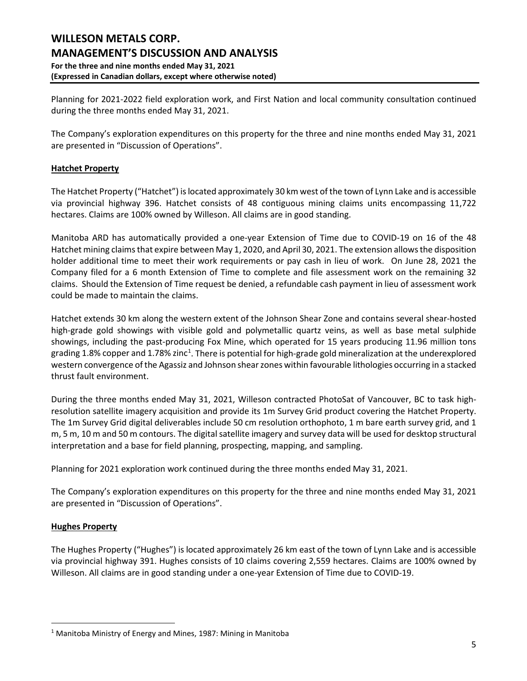Planning for 2021-2022 field exploration work, and First Nation and local community consultation continued during the three months ended May 31, 2021.

The Company's exploration expenditures on this property for the three and nine months ended May 31, 2021 are presented in "Discussion of Operations".

### **Hatchet Property**

The Hatchet Property ("Hatchet") is located approximately 30 km west of the town of Lynn Lake and is accessible via provincial highway 396. Hatchet consists of 48 contiguous mining claims units encompassing 11,722 hectares. Claims are 100% owned by Willeson. All claims are in good standing.

Manitoba ARD has automatically provided a one-year Extension of Time due to COVID-19 on 16 of the 48 Hatchet mining claims that expire between May 1, 2020, and April 30, 2021. The extension allows the disposition holder additional time to meet their work requirements or pay cash in lieu of work. On June 28, 2021 the Company filed for a 6 month Extension of Time to complete and file assessment work on the remaining 32 claims. Should the Extension of Time request be denied, a refundable cash payment in lieu of assessment work could be made to maintain the claims.

Hatchet extends 30 km along the western extent of the Johnson Shear Zone and contains several shear-hosted high-grade gold showings with visible gold and polymetallic quartz veins, as well as base metal sulphide showings, including the past-producing Fox Mine, which operated for 15 years producing 11.96 million tons grading [1](#page-4-0).8% copper and 1.78% zinc<sup>1</sup>. There is potential for high-grade gold mineralization at the underexplored western convergence of the Agassiz and Johnson shear zones within favourable lithologies occurring in a stacked thrust fault environment.

During the three months ended May 31, 2021, Willeson contracted PhotoSat of Vancouver, BC to task highresolution satellite imagery acquisition and provide its 1m Survey Grid product covering the Hatchet Property. The 1m Survey Grid digital deliverables include 50 cm resolution orthophoto, 1 m bare earth survey grid, and 1 m, 5 m, 10 m and 50 m contours. The digital satellite imagery and survey data will be used for desktop structural interpretation and a base for field planning, prospecting, mapping, and sampling.

Planning for 2021 exploration work continued during the three months ended May 31, 2021.

The Company's exploration expenditures on this property for the three and nine months ended May 31, 2021 are presented in "Discussion of Operations".

### **Hughes Property**

The Hughes Property ("Hughes") is located approximately 26 km east of the town of Lynn Lake and is accessible via provincial highway 391. Hughes consists of 10 claims covering 2,559 hectares. Claims are 100% owned by Willeson. All claims are in good standing under a one-year Extension of Time due to COVID-19.

<span id="page-4-0"></span><sup>&</sup>lt;sup>1</sup> Manitoba Ministry of Energy and Mines, 1987: Mining in Manitoba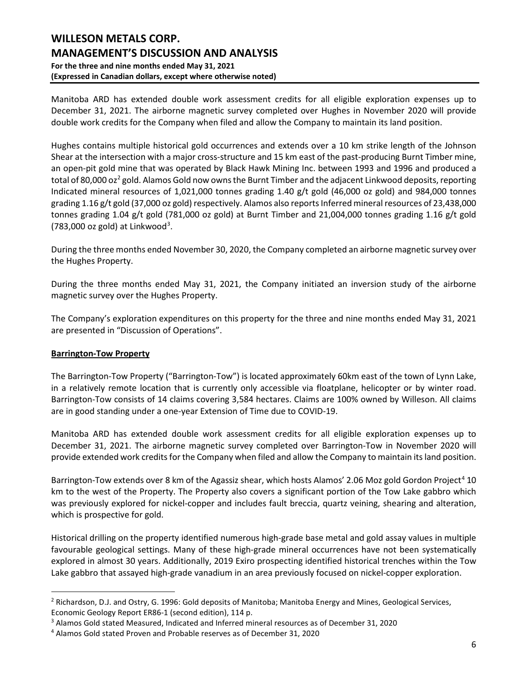## **WILLESON METALS CORP. MANAGEMENT'S DISCUSSION AND ANALYSIS For the three and nine months ended May 31, 2021 (Expressed in Canadian dollars, except where otherwise noted)**

Manitoba ARD has extended double work assessment credits for all eligible exploration expenses up to December 31, 2021. The airborne magnetic survey completed over Hughes in November 2020 will provide double work credits for the Company when filed and allow the Company to maintain its land position.

Hughes contains multiple historical gold occurrences and extends over a 10 km strike length of the Johnson Shear at the intersection with a major cross-structure and 15 km east of the past-producing Burnt Timber mine, an open-pit gold mine that was operated by Black Hawk Mining Inc. between 1993 and 1996 and produced a total of 80,000 oz<sup>[2](#page-5-0)</sup> gold. Alamos Gold now owns the Burnt Timber and the adjacent Linkwood deposits, reporting Indicated mineral resources of 1,021,000 tonnes grading 1.40 g/t gold (46,000 oz gold) and 984,000 tonnes grading 1.16 g/t gold (37,000 oz gold) respectively. Alamos also reports Inferred mineral resources of 23,438,000 tonnes grading 1.04 g/t gold (781,000 oz gold) at Burnt Timber and 21,004,000 tonnes grading 1.16 g/t gold  $(783,000 \text{ oz gold})$  $(783,000 \text{ oz gold})$  $(783,000 \text{ oz gold})$  at Linkwood<sup>3</sup>.

During the three months ended November 30, 2020, the Company completed an airborne magnetic survey over the Hughes Property.

During the three months ended May 31, 2021, the Company initiated an inversion study of the airborne magnetic survey over the Hughes Property.

The Company's exploration expenditures on this property for the three and nine months ended May 31, 2021 are presented in "Discussion of Operations".

### **Barrington-Tow Property**

The Barrington-Tow Property ("Barrington-Tow") is located approximately 60km east of the town of Lynn Lake, in a relatively remote location that is currently only accessible via floatplane, helicopter or by winter road. Barrington-Tow consists of 14 claims covering 3,584 hectares. Claims are 100% owned by Willeson. All claims are in good standing under a one-year Extension of Time due to COVID-19.

Manitoba ARD has extended double work assessment credits for all eligible exploration expenses up to December 31, 2021. The airborne magnetic survey completed over Barrington-Tow in November 2020 will provide extended work credits for the Company when filed and allow the Company to maintain its land position.

Barrington-Tow extends over 8 km of the Agassiz shear, which hosts Alamos' 2.06 Moz gold Gordon Project<sup>[4](#page-5-2)</sup> 10 km to the west of the Property. The Property also covers a significant portion of the Tow Lake gabbro which was previously explored for nickel-copper and includes fault breccia, quartz veining, shearing and alteration, which is prospective for gold.

Historical drilling on the property identified numerous high-grade base metal and gold assay values in multiple favourable geological settings. Many of these high-grade mineral occurrences have not been systematically explored in almost 30 years. Additionally, 2019 Exiro prospecting identified historical trenches within the Tow Lake gabbro that assayed high-grade vanadium in an area previously focused on nickel-copper exploration.

<span id="page-5-0"></span> $<sup>2</sup>$  Richardson, D.J. and Ostry, G. 1996: Gold deposits of Manitoba; Manitoba Energy and Mines, Geological Services,</sup> Economic Geology Report ER86-1 (second edition), 114 p.

<span id="page-5-1"></span><sup>3</sup> Alamos Gold stated Measured, Indicated and Inferred mineral resources as of December 31, 2020

<span id="page-5-2"></span><sup>4</sup> Alamos Gold stated Proven and Probable reserves as of December 31, 2020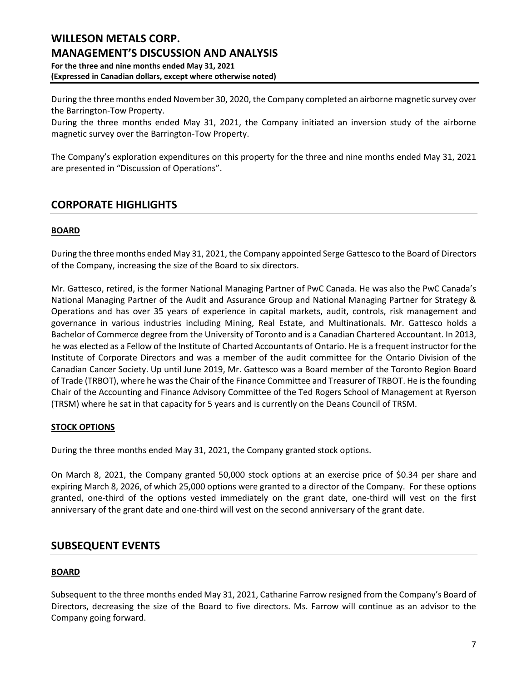During the three months ended November 30, 2020, the Company completed an airborne magnetic survey over the Barrington-Tow Property.

During the three months ended May 31, 2021, the Company initiated an inversion study of the airborne magnetic survey over the Barrington-Tow Property.

The Company's exploration expenditures on this property for the three and nine months ended May 31, 2021 are presented in "Discussion of Operations".

# **CORPORATE HIGHLIGHTS**

### **BOARD**

During the three months ended May 31, 2021, the Company appointed Serge Gattesco to the Board of Directors of the Company, increasing the size of the Board to six directors.

Mr. Gattesco, retired, is the former National Managing Partner of PwC Canada. He was also the PwC Canada's National Managing Partner of the Audit and Assurance Group and National Managing Partner for Strategy & Operations and has over 35 years of experience in capital markets, audit, controls, risk management and governance in various industries including Mining, Real Estate, and Multinationals. Mr. Gattesco holds a Bachelor of Commerce degree from the University of Toronto and is a Canadian Chartered Accountant. In 2013, he was elected as a Fellow of the Institute of Charted Accountants of Ontario. He is a frequent instructor for the Institute of Corporate Directors and was a member of the audit committee for the Ontario Division of the Canadian Cancer Society. Up until June 2019, Mr. Gattesco was a Board member of the Toronto Region Board of Trade (TRBOT), where he was the Chair of the Finance Committee and Treasurer of TRBOT. He is the founding Chair of the Accounting and Finance Advisory Committee of the Ted Rogers School of Management at Ryerson (TRSM) where he sat in that capacity for 5 years and is currently on the Deans Council of TRSM.

### **STOCK OPTIONS**

During the three months ended May 31, 2021, the Company granted stock options.

On March 8, 2021, the Company granted 50,000 stock options at an exercise price of \$0.34 per share and expiring March 8, 2026, of which 25,000 options were granted to a director of the Company. For these options granted, one-third of the options vested immediately on the grant date, one-third will vest on the first anniversary of the grant date and one-third will vest on the second anniversary of the grant date.

# **SUBSEQUENT EVENTS**

### **BOARD**

Subsequent to the three months ended May 31, 2021, Catharine Farrow resigned from the Company's Board of Directors, decreasing the size of the Board to five directors. Ms. Farrow will continue as an advisor to the Company going forward.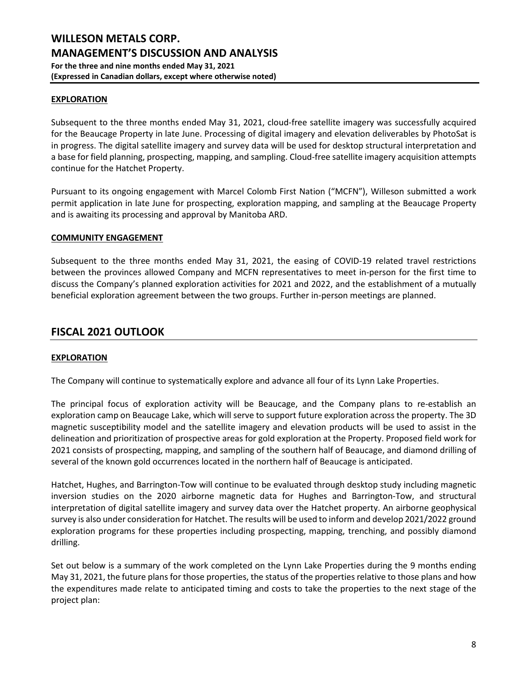### **EXPLORATION**

Subsequent to the three months ended May 31, 2021, cloud-free satellite imagery was successfully acquired for the Beaucage Property in late June. Processing of digital imagery and elevation deliverables by PhotoSat is in progress. The digital satellite imagery and survey data will be used for desktop structural interpretation and a base for field planning, prospecting, mapping, and sampling. Cloud-free satellite imagery acquisition attempts continue for the Hatchet Property.

Pursuant to its ongoing engagement with Marcel Colomb First Nation ("MCFN"), Willeson submitted a work permit application in late June for prospecting, exploration mapping, and sampling at the Beaucage Property and is awaiting its processing and approval by Manitoba ARD.

#### **COMMUNITY ENGAGEMENT**

Subsequent to the three months ended May 31, 2021, the easing of COVID-19 related travel restrictions between the provinces allowed Company and MCFN representatives to meet in-person for the first time to discuss the Company's planned exploration activities for 2021 and 2022, and the establishment of a mutually beneficial exploration agreement between the two groups. Further in-person meetings are planned.

### **FISCAL 2021 OUTLOOK**

### **EXPLORATION**

The Company will continue to systematically explore and advance all four of its Lynn Lake Properties.

The principal focus of exploration activity will be Beaucage, and the Company plans to re-establish an exploration camp on Beaucage Lake, which will serve to support future exploration across the property. The 3D magnetic susceptibility model and the satellite imagery and elevation products will be used to assist in the delineation and prioritization of prospective areas for gold exploration at the Property. Proposed field work for 2021 consists of prospecting, mapping, and sampling of the southern half of Beaucage, and diamond drilling of several of the known gold occurrences located in the northern half of Beaucage is anticipated.

Hatchet, Hughes, and Barrington-Tow will continue to be evaluated through desktop study including magnetic inversion studies on the 2020 airborne magnetic data for Hughes and Barrington-Tow, and structural interpretation of digital satellite imagery and survey data over the Hatchet property. An airborne geophysical survey is also under consideration for Hatchet. The results will be used to inform and develop 2021/2022 ground exploration programs for these properties including prospecting, mapping, trenching, and possibly diamond drilling.

Set out below is a summary of the work completed on the Lynn Lake Properties during the 9 months ending May 31, 2021, the future plans for those properties, the status of the properties relative to those plans and how the expenditures made relate to anticipated timing and costs to take the properties to the next stage of the project plan: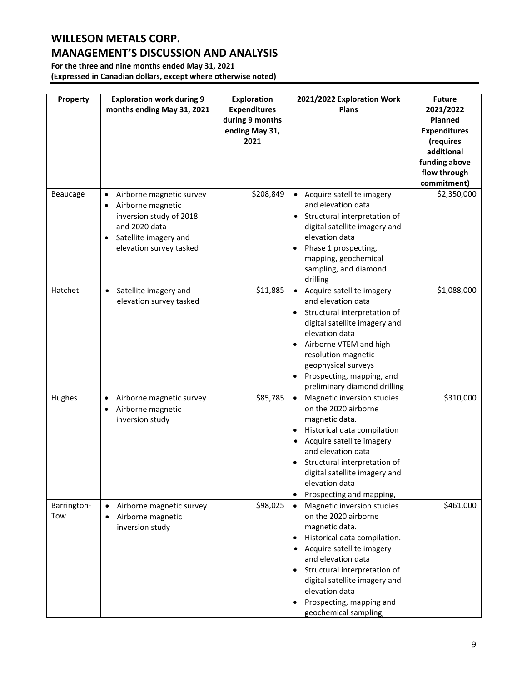# **WILLESON METALS CORP.**

# **MANAGEMENT'S DISCUSSION AND ANALYSIS**

**For the three and nine months ended May 31, 2021 (Expressed in Canadian dollars, except where otherwise noted)**

| Property           | <b>Exploration work during 9</b><br>months ending May 31, 2021                                                                                | <b>Exploration</b><br><b>Expenditures</b><br>during 9 months<br>ending May 31,<br>2021 | 2021/2022 Exploration Work<br><b>Plans</b>                                                                                                                                                                                                                                                      | <b>Future</b><br>2021/2022<br><b>Planned</b><br><b>Expenditures</b><br>(requires<br>additional<br>funding above<br>flow through<br>commitment) |
|--------------------|-----------------------------------------------------------------------------------------------------------------------------------------------|----------------------------------------------------------------------------------------|-------------------------------------------------------------------------------------------------------------------------------------------------------------------------------------------------------------------------------------------------------------------------------------------------|------------------------------------------------------------------------------------------------------------------------------------------------|
| Beaucage           | Airborne magnetic survey<br>Airborne magnetic<br>inversion study of 2018<br>and 2020 data<br>Satellite imagery and<br>elevation survey tasked | \$208,849                                                                              | • Acquire satellite imagery<br>and elevation data<br>• Structural interpretation of<br>digital satellite imagery and<br>elevation data<br>Phase 1 prospecting,<br>mapping, geochemical<br>sampling, and diamond<br>drilling                                                                     | \$2,350,000                                                                                                                                    |
| Hatchet            | Satellite imagery and<br>$\bullet$<br>elevation survey tasked                                                                                 | \$11,885                                                                               | • Acquire satellite imagery<br>and elevation data<br>Structural interpretation of<br>digital satellite imagery and<br>elevation data<br>Airborne VTEM and high<br>resolution magnetic<br>geophysical surveys<br>Prospecting, mapping, and<br>preliminary diamond drilling                       | \$1,088,000                                                                                                                                    |
| Hughes             | Airborne magnetic survey<br>$\bullet$<br>Airborne magnetic<br>inversion study                                                                 | \$85,785                                                                               | Magnetic inversion studies<br>on the 2020 airborne<br>magnetic data.<br>Historical data compilation<br>Acquire satellite imagery<br>and elevation data<br>Structural interpretation of<br>digital satellite imagery and<br>elevation data<br>Prospecting and mapping,                           | \$310,000                                                                                                                                      |
| Barrington-<br>Tow | Airborne magnetic survey<br>$\bullet$<br>Airborne magnetic<br>inversion study                                                                 | \$98,025                                                                               | Magnetic inversion studies<br>on the 2020 airborne<br>magnetic data.<br>Historical data compilation.<br>Acquire satellite imagery<br>and elevation data<br>Structural interpretation of<br>digital satellite imagery and<br>elevation data<br>Prospecting, mapping and<br>geochemical sampling, | \$461,000                                                                                                                                      |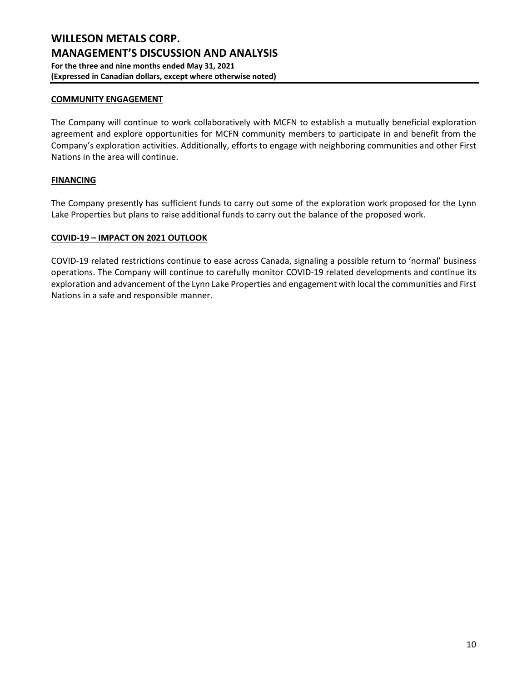### **COMMUNITY ENGAGEMENT**

The Company will continue to work collaboratively with MCFN to establish a mutually beneficial exploration agreement and explore opportunities for MCFN community members to participate in and benefit from the Company's exploration activities. Additionally, efforts to engage with neighboring communities and other First Nations in the area will continue.

### **FINANCING**

The Company presently has sufficient funds to carry out some of the exploration work proposed for the Lynn Lake Properties but plans to raise additional funds to carry out the balance of the proposed work.

#### **COVID-19 – IMPACT ON 2021 OUTLOOK**

COVID-19 related restrictions continue to ease across Canada, signaling a possible return to 'normal' business operations. The Company will continue to carefully monitor COVID-19 related developments and continue its exploration and advancement of the Lynn Lake Properties and engagement with local the communities and First Nations in a safe and responsible manner.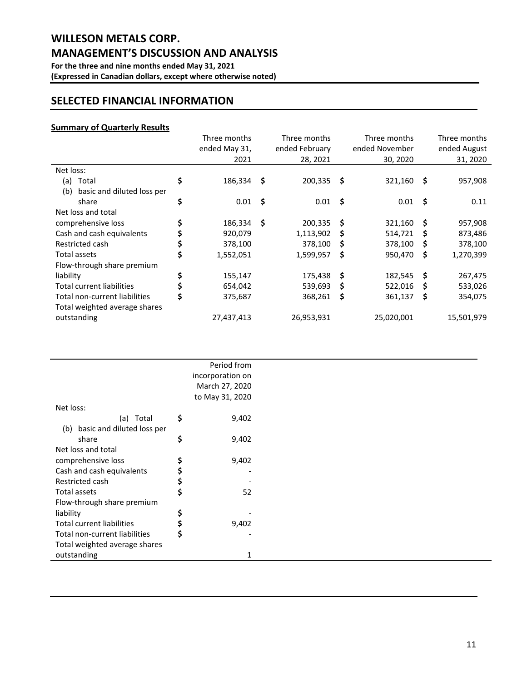## **SELECTED FINANCIAL INFORMATION**

### **Summary of Quarterly Results**

|                                   | Three months<br>ended May 31,<br>2021 |      | Three months<br>ended February<br>28, 2021 |    | Three months<br>ended November<br>30, 2020 |          | Three months<br>ended August<br>31, 2020 |
|-----------------------------------|---------------------------------------|------|--------------------------------------------|----|--------------------------------------------|----------|------------------------------------------|
| Net loss:                         |                                       |      |                                            |    |                                            |          |                                          |
| Total<br>(a)                      | \$<br>186,334                         | - \$ | 200,335                                    | \$ | 321,160                                    | \$.      | 957,908                                  |
| basic and diluted loss per<br>(b) |                                       |      |                                            |    |                                            |          |                                          |
| share                             | \$<br>0.01                            | - \$ | 0.01                                       | \$ | 0.01                                       | - \$     | 0.11                                     |
| Net loss and total                |                                       |      |                                            |    |                                            |          |                                          |
| comprehensive loss                | \$<br>186,334                         | -S   | 200,335                                    | S  | 321,160                                    | <b>S</b> | 957,908                                  |
| Cash and cash equivalents         | 920,079                               |      | 1,113,902                                  | S  | 514,721                                    | S        | 873,486                                  |
| Restricted cash                   | 378,100                               |      | 378,100                                    | S  | 378,100                                    | S        | 378,100                                  |
| Total assets                      | \$<br>1,552,051                       |      | 1,599,957                                  | S  | 950,470                                    | \$       | 1,270,399                                |
| Flow-through share premium        |                                       |      |                                            |    |                                            |          |                                          |
| liability                         | \$<br>155,147                         |      | 175,438                                    | -S | 182,545                                    | - \$     | 267,475                                  |
| <b>Total current liabilities</b>  | \$<br>654,042                         |      | 539,693                                    | Ŝ  | 522,016                                    | \$.      | 533,026                                  |
| Total non-current liabilities     | \$<br>375,687                         |      | 368,261                                    | S  | 361,137                                    | \$       | 354,075                                  |
| Total weighted average shares     |                                       |      |                                            |    |                                            |          |                                          |
| outstanding                       | 27,437,413                            |      | 26,953,931                                 |    | 25,020,001                                 |          | 15,501,979                               |

|                                  | Period from      |  |
|----------------------------------|------------------|--|
|                                  | incorporation on |  |
|                                  | March 27, 2020   |  |
|                                  | to May 31, 2020  |  |
| Net loss:                        |                  |  |
| (a) Total                        | \$<br>9,402      |  |
| (b) basic and diluted loss per   |                  |  |
| share                            | \$<br>9,402      |  |
| Net loss and total               |                  |  |
| comprehensive loss               | \$<br>9,402      |  |
| Cash and cash equivalents        |                  |  |
| Restricted cash                  |                  |  |
| Total assets                     | \$<br>52         |  |
| Flow-through share premium       |                  |  |
| liability                        | \$               |  |
| <b>Total current liabilities</b> | \$<br>9,402      |  |
| Total non-current liabilities    | \$               |  |
| Total weighted average shares    |                  |  |
| outstanding                      | $\mathbf{1}$     |  |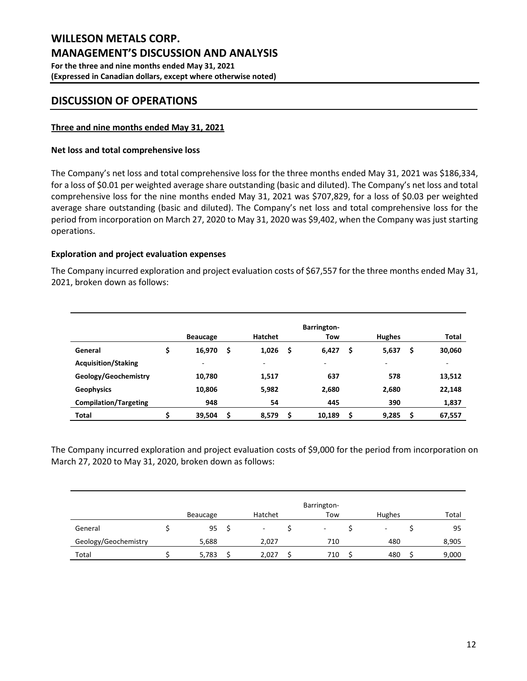## **DISCUSSION OF OPERATIONS**

### **Three and nine months ended May 31, 2021**

### **Net loss and total comprehensive loss**

The Company's net loss and total comprehensive loss for the three months ended May 31, 2021 was \$186,334, for a loss of \$0.01 per weighted average share outstanding (basic and diluted). The Company's net loss and total comprehensive loss for the nine months ended May 31, 2021 was \$707,829, for a loss of \$0.03 per weighted average share outstanding (basic and diluted). The Company's net loss and total comprehensive loss for the period from incorporation on March 27, 2020 to May 31, 2020 was \$9,402, when the Company was just starting operations.

### **Exploration and project evaluation expenses**

The Company incurred exploration and project evaluation costs of \$67,557 for the three months ended May 31, 2021, broken down as follows:

|                              | <b>Beaucage</b> | <b>Hatchet</b> |    | <b>Barrington-</b><br>Tow |     | <b>Hughes</b> |    | Total  |
|------------------------------|-----------------|----------------|----|---------------------------|-----|---------------|----|--------|
| General                      | \$<br>16,970    | \$<br>1,026    | \$ | 6,427                     | \$. | 5,637         | \$ | 30,060 |
| <b>Acquisition/Staking</b>   | ۰               | -              |    | -                         |     | ٠             |    | ۰      |
| Geology/Geochemistry         | 10,780          | 1,517          |    | 637                       |     | 578           |    | 13,512 |
| <b>Geophysics</b>            | 10,806          | 5,982          |    | 2,680                     |     | 2,680         |    | 22,148 |
| <b>Compilation/Targeting</b> | 948             | 54             |    | 445                       |     | 390           |    | 1,837  |
| <b>Total</b>                 | \$<br>39,504    | \$<br>8,579    | Ś  | 10,189                    |     | 9,285         | Ś  | 67,557 |

The Company incurred exploration and project evaluation costs of \$9,000 for the period from incorporation on March 27, 2020 to May 31, 2020, broken down as follows:

|                      |          |         | Barrington- |        |       |
|----------------------|----------|---------|-------------|--------|-------|
|                      | Beaucage | Hatchet | Tow         | Hughes | Total |
| General              | 95       |         | ۰           | ٠      | 95    |
| Geology/Geochemistry | 5,688    | 2,027   | 710         | 480    | 8,905 |
| Total                | 5,783    | 2.027   | 710         | 480    | 9,000 |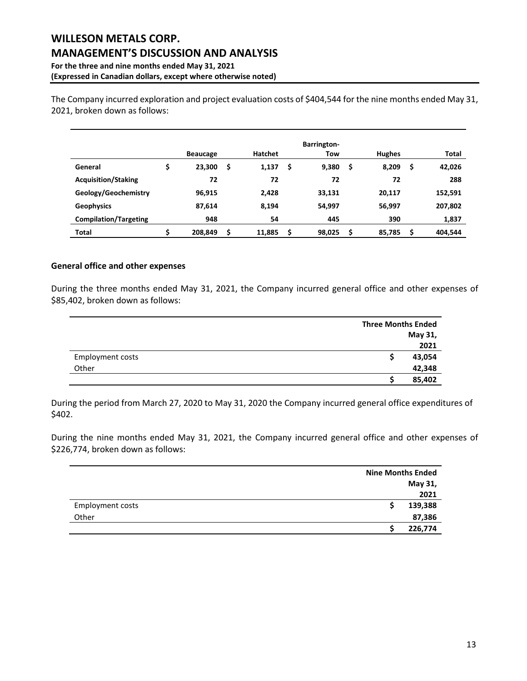The Company incurred exploration and project evaluation costs of \$404,544 for the nine months ended May 31, 2021, broken down as follows:

|                              | <b>Beaucage</b> | <b>Hatchet</b> |    | <b>Barrington-</b><br>Tow |   | <b>Hughes</b> |    | Total   |
|------------------------------|-----------------|----------------|----|---------------------------|---|---------------|----|---------|
| General                      | \$<br>23,300    | \$<br>1,137    | S  | 9,380                     | S | 8,209         | \$ | 42,026  |
| <b>Acquisition/Staking</b>   | 72              | 72             |    | 72                        |   | 72            |    | 288     |
| Geology/Geochemistry         | 96,915          | 2,428          |    | 33,131                    |   | 20,117        |    | 152,591 |
| <b>Geophysics</b>            | 87,614          | 8,194          |    | 54,997                    |   | 56,997        |    | 207,802 |
| <b>Compilation/Targeting</b> | 948             | 54             |    | 445                       |   | 390           |    | 1,837   |
| <b>Total</b>                 | \$<br>208.849   | \$<br>11,885   | \$ | 98,025                    | Ś | 85,785        | Ś  | 404.544 |

### **General office and other expenses**

During the three months ended May 31, 2021, the Company incurred general office and other expenses of \$85,402, broken down as follows:

|                         | <b>Three Months Ended</b> |         |
|-------------------------|---------------------------|---------|
|                         |                           | May 31, |
|                         |                           | 2021    |
| <b>Employment costs</b> |                           | 43,054  |
| Other                   |                           | 42,348  |
|                         |                           | 85,402  |

During the period from March 27, 2020 to May 31, 2020 the Company incurred general office expenditures of \$402.

During the nine months ended May 31, 2021, the Company incurred general office and other expenses of \$226,774, broken down as follows:

|                  | <b>Nine Months Ended</b> |
|------------------|--------------------------|
|                  | May 31,                  |
|                  | 2021                     |
| Employment costs | 139,388                  |
| Other            | 87,386                   |
|                  | 226,774                  |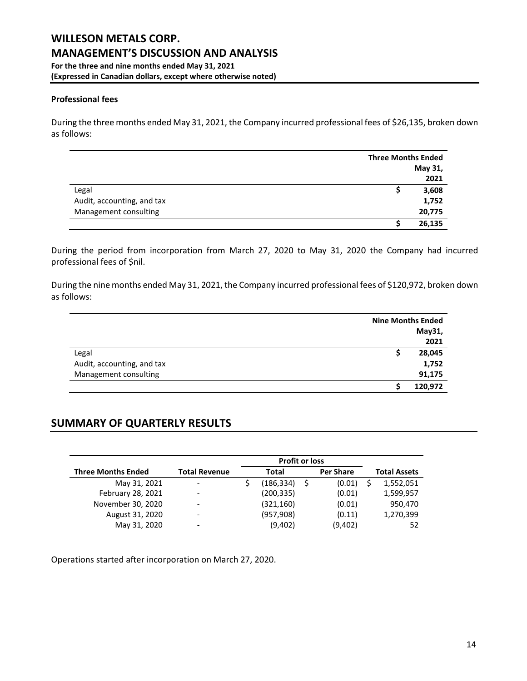### **Professional fees**

During the three months ended May 31, 2021, the Company incurred professional fees of \$26,135, broken down as follows:

|                            | <b>Three Months Ended</b> |
|----------------------------|---------------------------|
|                            | May 31,                   |
|                            | 2021                      |
| Legal                      | 3,608                     |
| Audit, accounting, and tax | 1,752                     |
| Management consulting      | 20,775                    |
|                            | 26,135                    |

During the period from incorporation from March 27, 2020 to May 31, 2020 the Company had incurred professional fees of \$nil.

During the nine months ended May 31, 2021, the Company incurred professional fees of \$120,972, broken down as follows:

|                            | <b>Nine Months Ended</b> |
|----------------------------|--------------------------|
|                            | May31,                   |
|                            | 2021                     |
| Legal                      | 28,045                   |
| Audit, accounting, and tax | 1,752                    |
| Management consulting      | 91,175                   |
|                            | 120,972                  |

# **SUMMARY OF QUARTERLY RESULTS**

|                           |                          | <b>Profit or loss</b> |                  |                     |
|---------------------------|--------------------------|-----------------------|------------------|---------------------|
| <b>Three Months Ended</b> | <b>Total Revenue</b>     | Total                 | <b>Per Share</b> | <b>Total Assets</b> |
| May 31, 2021              | ۰                        | (186, 334)            | \$<br>(0.01)     | 1,552,051           |
| February 28, 2021         | ۰                        | (200, 335)            | (0.01)           | 1,599,957           |
| November 30, 2020         | $\overline{\phantom{0}}$ | (321, 160)            | (0.01)           | 950,470             |
| August 31, 2020           | $\overline{\phantom{0}}$ | (957, 908)            | (0.11)           | 1,270,399           |
| May 31, 2020              | $\overline{\phantom{0}}$ | (9,402)               | (9,402)          | 52                  |

Operations started after incorporation on March 27, 2020.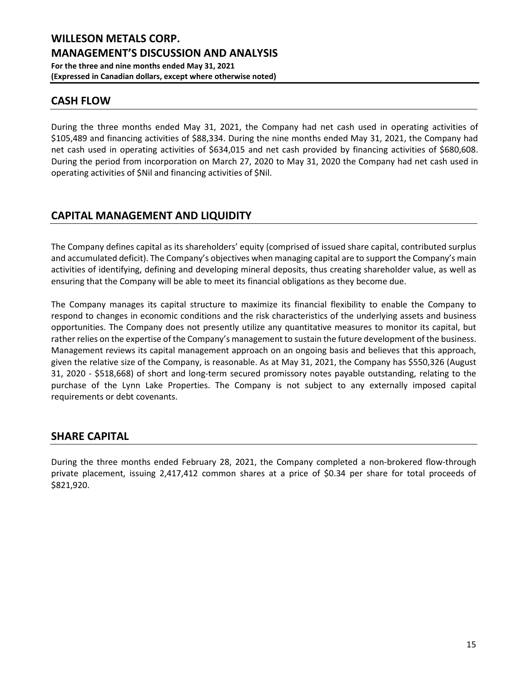## **CASH FLOW**

During the three months ended May 31, 2021, the Company had net cash used in operating activities of \$105,489 and financing activities of \$88,334. During the nine months ended May 31, 2021, the Company had net cash used in operating activities of \$634,015 and net cash provided by financing activities of \$680,608. During the period from incorporation on March 27, 2020 to May 31, 2020 the Company had net cash used in operating activities of \$Nil and financing activities of \$Nil.

# **CAPITAL MANAGEMENT AND LIQUIDITY**

The Company defines capital as its shareholders' equity (comprised of issued share capital, contributed surplus and accumulated deficit). The Company's objectives when managing capital are to support the Company's main activities of identifying, defining and developing mineral deposits, thus creating shareholder value, as well as ensuring that the Company will be able to meet its financial obligations as they become due.

The Company manages its capital structure to maximize its financial flexibility to enable the Company to respond to changes in economic conditions and the risk characteristics of the underlying assets and business opportunities. The Company does not presently utilize any quantitative measures to monitor its capital, but rather relies on the expertise of the Company's management to sustain the future development of the business. Management reviews its capital management approach on an ongoing basis and believes that this approach, given the relative size of the Company, is reasonable. As at May 31, 2021, the Company has \$550,326 (August 31, 2020 - \$518,668) of short and long-term secured promissory notes payable outstanding, relating to the purchase of the Lynn Lake Properties. The Company is not subject to any externally imposed capital requirements or debt covenants.

### **SHARE CAPITAL**

During the three months ended February 28, 2021, the Company completed a non-brokered flow-through private placement, issuing 2,417,412 common shares at a price of \$0.34 per share for total proceeds of \$821,920.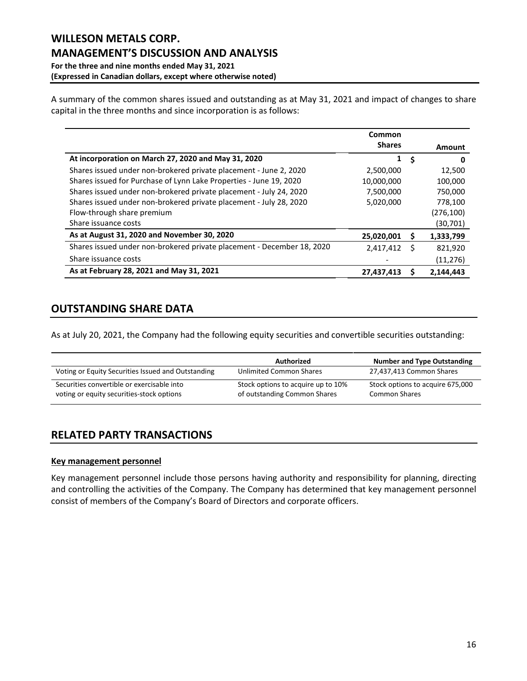A summary of the common shares issued and outstanding as at May 31, 2021 and impact of changes to share capital in the three months and since incorporation is as follows:

|                                                                        | Common        |     |           |
|------------------------------------------------------------------------|---------------|-----|-----------|
|                                                                        | <b>Shares</b> |     | Amount    |
| At incorporation on March 27, 2020 and May 31, 2020                    | 1             | -\$ | O         |
| Shares issued under non-brokered private placement - June 2, 2020      | 2,500,000     |     | 12,500    |
| Shares issued for Purchase of Lynn Lake Properties - June 19, 2020     | 10,000,000    |     | 100,000   |
| Shares issued under non-brokered private placement - July 24, 2020     | 7,500,000     |     | 750,000   |
| Shares issued under non-brokered private placement - July 28, 2020     | 5,020,000     |     | 778,100   |
| Flow-through share premium                                             |               |     | (276,100) |
| Share issuance costs                                                   |               |     | (30,701)  |
| As at August 31, 2020 and November 30, 2020                            | 25,020,001    | s   | 1,333,799 |
| Shares issued under non-brokered private placement - December 18, 2020 | 2,417,412     | S   | 821,920   |
| Share issuance costs                                                   |               |     | (11,276)  |
| As at February 28, 2021 and May 31, 2021                               | 27,437,413    | S   | 2,144,443 |

# **OUTSTANDING SHARE DATA**

As at July 20, 2021, the Company had the following equity securities and convertible securities outstanding:

|                                                                                         | Authorized                                                         | <b>Number and Type Outstanding</b>                       |
|-----------------------------------------------------------------------------------------|--------------------------------------------------------------------|----------------------------------------------------------|
| Voting or Equity Securities Issued and Outstanding                                      | Unlimited Common Shares                                            | 27,437,413 Common Shares                                 |
| Securities convertible or exercisable into<br>voting or equity securities-stock options | Stock options to acquire up to 10%<br>of outstanding Common Shares | Stock options to acquire 675,000<br><b>Common Shares</b> |

# **RELATED PARTY TRANSACTIONS**

### **Key management personnel**

Key management personnel include those persons having authority and responsibility for planning, directing and controlling the activities of the Company. The Company has determined that key management personnel consist of members of the Company's Board of Directors and corporate officers.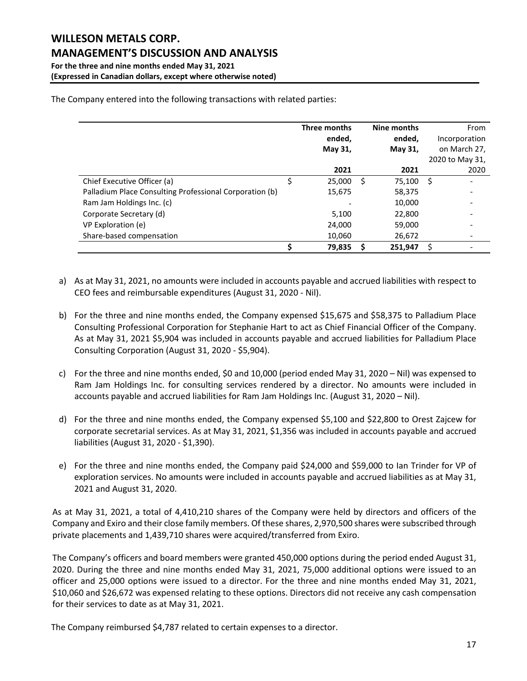| The Company entered into the following transactions with related parties: |  |  |
|---------------------------------------------------------------------------|--|--|

|                                                         |   | Three months<br>ended,<br>May 31, |   | Nine months<br>ended,<br>May 31, |     | From<br>Incorporation<br>on March 27, |
|---------------------------------------------------------|---|-----------------------------------|---|----------------------------------|-----|---------------------------------------|
|                                                         |   | 2021                              |   | 2021                             |     | 2020 to May 31,<br>2020               |
| Chief Executive Officer (a)                             | Ś | 25,000                            | S | 75,100                           | -\$ |                                       |
| Palladium Place Consulting Professional Corporation (b) |   | 15,675                            |   | 58,375                           |     |                                       |
| Ram Jam Holdings Inc. (c)                               |   |                                   |   | 10,000                           |     |                                       |
| Corporate Secretary (d)                                 |   | 5,100                             |   | 22,800                           |     |                                       |
| VP Exploration (e)                                      |   | 24,000                            |   | 59,000                           |     |                                       |
| Share-based compensation                                |   | 10,060                            |   | 26,672                           |     |                                       |
|                                                         |   | 79,835                            |   | 251,947                          | Ś   |                                       |

- a) As at May 31, 2021, no amounts were included in accounts payable and accrued liabilities with respect to CEO fees and reimbursable expenditures (August 31, 2020 - Nil).
- b) For the three and nine months ended, the Company expensed \$15,675 and \$58,375 to Palladium Place Consulting Professional Corporation for Stephanie Hart to act as Chief Financial Officer of the Company. As at May 31, 2021 \$5,904 was included in accounts payable and accrued liabilities for Palladium Place Consulting Corporation (August 31, 2020 - \$5,904).
- c) For the three and nine months ended, \$0 and 10,000 (period ended May 31, 2020 Nil) was expensed to Ram Jam Holdings Inc. for consulting services rendered by a director. No amounts were included in accounts payable and accrued liabilities for Ram Jam Holdings Inc. (August 31, 2020 – Nil).
- d) For the three and nine months ended, the Company expensed \$5,100 and \$22,800 to Orest Zajcew for corporate secretarial services. As at May 31, 2021, \$1,356 was included in accounts payable and accrued liabilities (August 31, 2020 - \$1,390).
- e) For the three and nine months ended, the Company paid \$24,000 and \$59,000 to Ian Trinder for VP of exploration services. No amounts were included in accounts payable and accrued liabilities as at May 31, 2021 and August 31, 2020.

As at May 31, 2021, a total of 4,410,210 shares of the Company were held by directors and officers of the Company and Exiro and their close family members. Of these shares, 2,970,500 shares were subscribed through private placements and 1,439,710 shares were acquired/transferred from Exiro.

The Company's officers and board members were granted 450,000 options during the period ended August 31, 2020. During the three and nine months ended May 31, 2021, 75,000 additional options were issued to an officer and 25,000 options were issued to a director. For the three and nine months ended May 31, 2021, \$10,060 and \$26,672 was expensed relating to these options. Directors did not receive any cash compensation for their services to date as at May 31, 2021.

The Company reimbursed \$4,787 related to certain expenses to a director.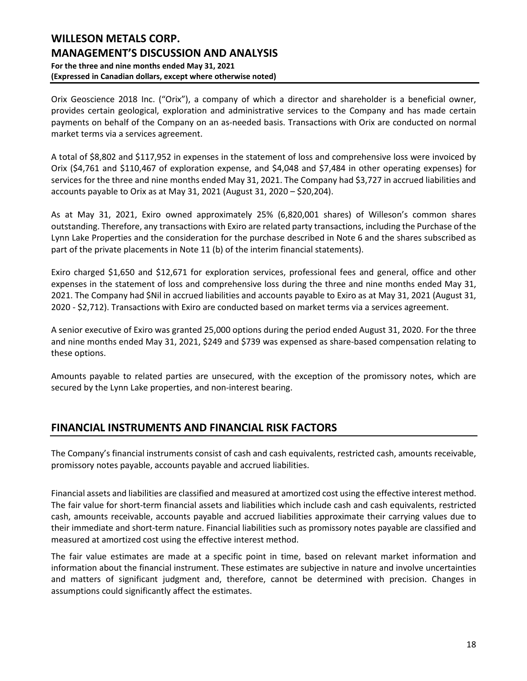## **WILLESON METALS CORP. MANAGEMENT'S DISCUSSION AND ANALYSIS For the three and nine months ended May 31, 2021 (Expressed in Canadian dollars, except where otherwise noted)**

Orix Geoscience 2018 Inc. ("Orix"), a company of which a director and shareholder is a beneficial owner, provides certain geological, exploration and administrative services to the Company and has made certain payments on behalf of the Company on an as-needed basis. Transactions with Orix are conducted on normal market terms via a services agreement.

A total of \$8,802 and \$117,952 in expenses in the statement of loss and comprehensive loss were invoiced by Orix (\$4,761 and \$110,467 of exploration expense, and \$4,048 and \$7,484 in other operating expenses) for services for the three and nine months ended May 31, 2021. The Company had \$3,727 in accrued liabilities and accounts payable to Orix as at May 31, 2021 (August 31, 2020 – \$20,204).

As at May 31, 2021, Exiro owned approximately 25% (6,820,001 shares) of Willeson's common shares outstanding. Therefore, any transactions with Exiro are related party transactions, including the Purchase of the Lynn Lake Properties and the consideration for the purchase described in Note 6 and the shares subscribed as part of the private placements in Note 11 (b) of the interim financial statements).

Exiro charged \$1,650 and \$12,671 for exploration services, professional fees and general, office and other expenses in the statement of loss and comprehensive loss during the three and nine months ended May 31, 2021. The Company had \$Nil in accrued liabilities and accounts payable to Exiro as at May 31, 2021 (August 31, 2020 - \$2,712). Transactions with Exiro are conducted based on market terms via a services agreement.

A senior executive of Exiro was granted 25,000 options during the period ended August 31, 2020. For the three and nine months ended May 31, 2021, \$249 and \$739 was expensed as share-based compensation relating to these options.

Amounts payable to related parties are unsecured, with the exception of the promissory notes, which are secured by the Lynn Lake properties, and non-interest bearing.

### **FINANCIAL INSTRUMENTS AND FINANCIAL RISK FACTORS**

The Company's financial instruments consist of cash and cash equivalents, restricted cash, amounts receivable, promissory notes payable, accounts payable and accrued liabilities.

Financial assets and liabilities are classified and measured at amortized cost using the effective interest method. The fair value for short-term financial assets and liabilities which include cash and cash equivalents, restricted cash, amounts receivable, accounts payable and accrued liabilities approximate their carrying values due to their immediate and short-term nature. Financial liabilities such as promissory notes payable are classified and measured at amortized cost using the effective interest method.

The fair value estimates are made at a specific point in time, based on relevant market information and information about the financial instrument. These estimates are subjective in nature and involve uncertainties and matters of significant judgment and, therefore, cannot be determined with precision. Changes in assumptions could significantly affect the estimates.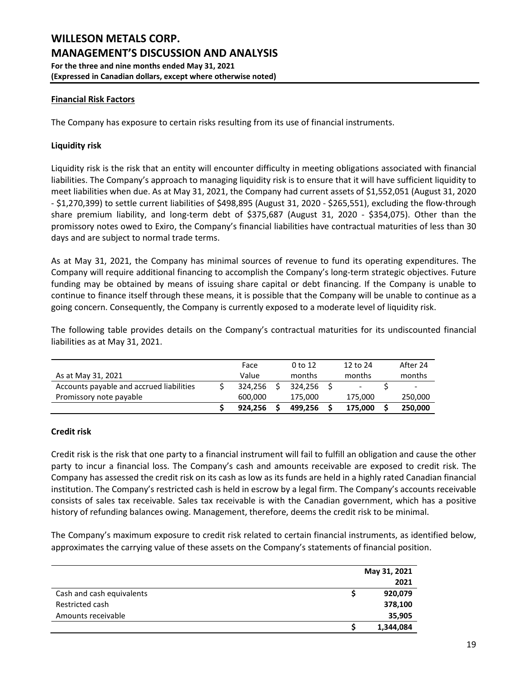### **Financial Risk Factors**

The Company has exposure to certain risks resulting from its use of financial instruments.

#### **Liquidity risk**

Liquidity risk is the risk that an entity will encounter difficulty in meeting obligations associated with financial liabilities. The Company's approach to managing liquidity risk is to ensure that it will have sufficient liquidity to meet liabilities when due. As at May 31, 2021, the Company had current assets of \$1,552,051 (August 31, 2020 - \$1,270,399) to settle current liabilities of \$498,895 (August 31, 2020 - \$265,551), excluding the flow-through share premium liability, and long-term debt of \$375,687 (August 31, 2020 - \$354,075). Other than the promissory notes owed to Exiro, the Company's financial liabilities have contractual maturities of less than 30 days and are subject to normal trade terms.

As at May 31, 2021, the Company has minimal sources of revenue to fund its operating expenditures. The Company will require additional financing to accomplish the Company's long-term strategic objectives. Future funding may be obtained by means of issuing share capital or debt financing. If the Company is unable to continue to finance itself through these means, it is possible that the Company will be unable to continue as a going concern. Consequently, the Company is currently exposed to a moderate level of liquidity risk.

The following table provides details on the Company's contractual maturities for its undiscounted financial liabilities as at May 31, 2021.

|                                          | Face    | $0$ to 12 | 12 to 24                 | After 24 |
|------------------------------------------|---------|-----------|--------------------------|----------|
| As at May 31, 2021                       | Value   | months    | months                   | months   |
| Accounts payable and accrued liabilities | 324.256 | 324.256   | $\overline{\phantom{a}}$ |          |
| Promissory note payable                  | 600.000 | 175.000   | 175.000                  | 250,000  |
|                                          | 924.256 | 499.256   | 175.000                  | 250,000  |

#### **Credit risk**

Credit risk is the risk that one party to a financial instrument will fail to fulfill an obligation and cause the other party to incur a financial loss. The Company's cash and amounts receivable are exposed to credit risk. The Company has assessed the credit risk on its cash as low as its funds are held in a highly rated Canadian financial institution. The Company's restricted cash is held in escrow by a legal firm. The Company's accounts receivable consists of sales tax receivable. Sales tax receivable is with the Canadian government, which has a positive history of refunding balances owing. Management, therefore, deems the credit risk to be minimal.

The Company's maximum exposure to credit risk related to certain financial instruments, as identified below, approximates the carrying value of these assets on the Company's statements of financial position.

|                           | May 31, 2021 |  |
|---------------------------|--------------|--|
|                           | 2021         |  |
| Cash and cash equivalents | 920,079      |  |
| Restricted cash           | 378,100      |  |
| Amounts receivable        | 35,905       |  |
|                           | 1,344,084    |  |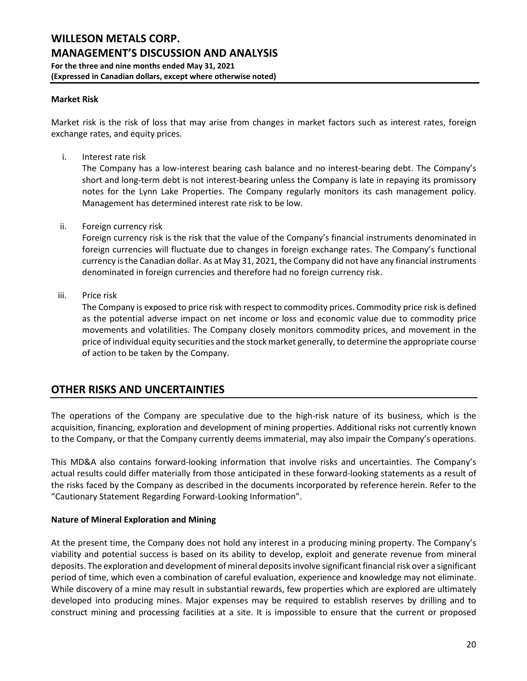#### **Market Risk**

Market risk is the risk of loss that may arise from changes in market factors such as interest rates, foreign exchange rates, and equity prices.

i. Interest rate risk

The Company has a low-interest bearing cash balance and no interest-bearing debt. The Company's short and long-term debt is not interest-bearing unless the Company is late in repaying its promissory notes for the Lynn Lake Properties. The Company regularly monitors its cash management policy. Management has determined interest rate risk to be low.

ii. Foreign currency risk

Foreign currency risk is the risk that the value of the Company's financial instruments denominated in foreign currencies will fluctuate due to changes in foreign exchange rates. The Company's functional currency is the Canadian dollar. As at May 31, 2021, the Company did not have any financial instruments denominated in foreign currencies and therefore had no foreign currency risk.

iii. Price risk

The Company is exposed to price risk with respect to commodity prices. Commodity price risk is defined as the potential adverse impact on net income or loss and economic value due to commodity price movements and volatilities. The Company closely monitors commodity prices, and movement in the price of individual equity securities and the stock market generally, to determine the appropriate course of action to be taken by the Company.

### **OTHER RISKS AND UNCERTAINTIES**

The operations of the Company are speculative due to the high-risk nature of its business, which is the acquisition, financing, exploration and development of mining properties. Additional risks not currently known to the Company, or that the Company currently deems immaterial, may also impair the Company's operations.

This MD&A also contains forward-looking information that involve risks and uncertainties. The Company's actual results could differ materially from those anticipated in these forward-looking statements as a result of the risks faced by the Company as described in the documents incorporated by reference herein. Refer to the "Cautionary Statement Regarding Forward-Looking Information".

### **Nature of Mineral Exploration and Mining**

At the present time, the Company does not hold any interest in a producing mining property. The Company's viability and potential success is based on its ability to develop, exploit and generate revenue from mineral deposits. The exploration and development of mineral deposits involve significant financial risk over a significant period of time, which even a combination of careful evaluation, experience and knowledge may not eliminate. While discovery of a mine may result in substantial rewards, few properties which are explored are ultimately developed into producing mines. Major expenses may be required to establish reserves by drilling and to construct mining and processing facilities at a site. It is impossible to ensure that the current or proposed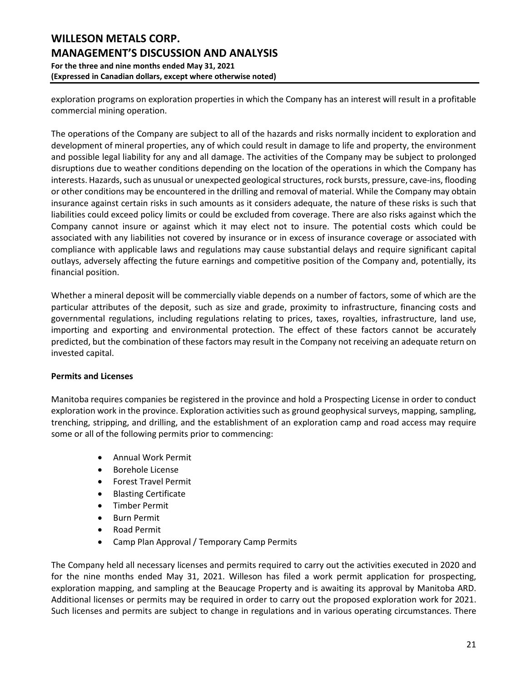exploration programs on exploration properties in which the Company has an interest will result in a profitable commercial mining operation.

The operations of the Company are subject to all of the hazards and risks normally incident to exploration and development of mineral properties, any of which could result in damage to life and property, the environment and possible legal liability for any and all damage. The activities of the Company may be subject to prolonged disruptions due to weather conditions depending on the location of the operations in which the Company has interests. Hazards, such as unusual or unexpected geological structures, rock bursts, pressure, cave-ins, flooding or other conditions may be encountered in the drilling and removal of material. While the Company may obtain insurance against certain risks in such amounts as it considers adequate, the nature of these risks is such that liabilities could exceed policy limits or could be excluded from coverage. There are also risks against which the Company cannot insure or against which it may elect not to insure. The potential costs which could be associated with any liabilities not covered by insurance or in excess of insurance coverage or associated with compliance with applicable laws and regulations may cause substantial delays and require significant capital outlays, adversely affecting the future earnings and competitive position of the Company and, potentially, its financial position.

Whether a mineral deposit will be commercially viable depends on a number of factors, some of which are the particular attributes of the deposit, such as size and grade, proximity to infrastructure, financing costs and governmental regulations, including regulations relating to prices, taxes, royalties, infrastructure, land use, importing and exporting and environmental protection. The effect of these factors cannot be accurately predicted, but the combination of these factors may result in the Company not receiving an adequate return on invested capital.

### **Permits and Licenses**

Manitoba requires companies be registered in the province and hold a Prospecting License in order to conduct exploration work in the province. Exploration activities such as ground geophysical surveys, mapping, sampling, trenching, stripping, and drilling, and the establishment of an exploration camp and road access may require some or all of the following permits prior to commencing:

- Annual Work Permit
- Borehole License
- Forest Travel Permit
- Blasting Certificate
- Timber Permit
- Burn Permit
- Road Permit
- Camp Plan Approval / Temporary Camp Permits

The Company held all necessary licenses and permits required to carry out the activities executed in 2020 and for the nine months ended May 31, 2021. Willeson has filed a work permit application for prospecting, exploration mapping, and sampling at the Beaucage Property and is awaiting its approval by Manitoba ARD. Additional licenses or permits may be required in order to carry out the proposed exploration work for 2021. Such licenses and permits are subject to change in regulations and in various operating circumstances. There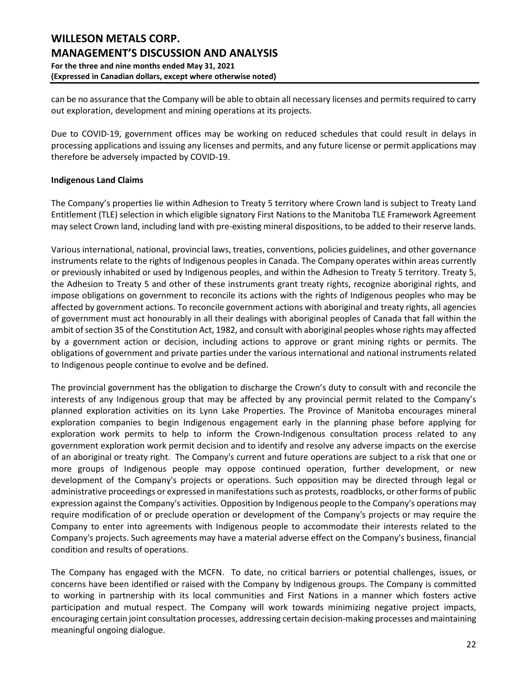can be no assurance that the Company will be able to obtain all necessary licenses and permits required to carry out exploration, development and mining operations at its projects.

Due to COVID-19, government offices may be working on reduced schedules that could result in delays in processing applications and issuing any licenses and permits, and any future license or permit applications may therefore be adversely impacted by COVID-19.

### **Indigenous Land Claims**

The Company's properties lie within Adhesion to Treaty 5 territory where Crown land is subject to Treaty Land Entitlement (TLE) selection in which eligible signatory First Nations to the Manitoba TLE Framework Agreement may select Crown land, including land with pre-existing mineral dispositions, to be added to their reserve lands.

Various international, national, provincial laws, treaties, conventions, policies guidelines, and other governance instruments relate to the rights of Indigenous peoples in Canada. The Company operates within areas currently or previously inhabited or used by Indigenous peoples, and within the Adhesion to Treaty 5 territory. Treaty 5, the Adhesion to Treaty 5 and other of these instruments grant treaty rights, recognize aboriginal rights, and impose obligations on government to reconcile its actions with the rights of Indigenous peoples who may be affected by government actions. To reconcile government actions with aboriginal and treaty rights, all agencies of government must act honourably in all their dealings with aboriginal peoples of Canada that fall within the ambit of section 35 of the Constitution Act, 1982, and consult with aboriginal peoples whose rights may affected by a government action or decision, including actions to approve or grant mining rights or permits. The obligations of government and private parties under the various international and national instruments related to Indigenous people continue to evolve and be defined.

The provincial government has the obligation to discharge the Crown's duty to consult with and reconcile the interests of any Indigenous group that may be affected by any provincial permit related to the Company's planned exploration activities on its Lynn Lake Properties. The Province of Manitoba encourages mineral exploration companies to begin Indigenous engagement early in the planning phase before applying for exploration work permits to help to inform the Crown-Indigenous consultation process related to any government exploration work permit decision and to identify and resolve any adverse impacts on the exercise of an aboriginal or treaty right. The Company's current and future operations are subject to a risk that one or more groups of Indigenous people may oppose continued operation, further development, or new development of the Company's projects or operations. Such opposition may be directed through legal or administrative proceedings or expressed in manifestations such as protests, roadblocks, or other forms of public expression against the Company's activities. Opposition by Indigenous people to the Company's operations may require modification of or preclude operation or development of the Company's projects or may require the Company to enter into agreements with Indigenous people to accommodate their interests related to the Company's projects. Such agreements may have a material adverse effect on the Company's business, financial condition and results of operations.

The Company has engaged with the MCFN. To date, no critical barriers or potential challenges, issues, or concerns have been identified or raised with the Company by Indigenous groups. The Company is committed to working in partnership with its local communities and First Nations in a manner which fosters active participation and mutual respect. The Company will work towards minimizing negative project impacts, encouraging certain joint consultation processes, addressing certain decision-making processes and maintaining meaningful ongoing dialogue.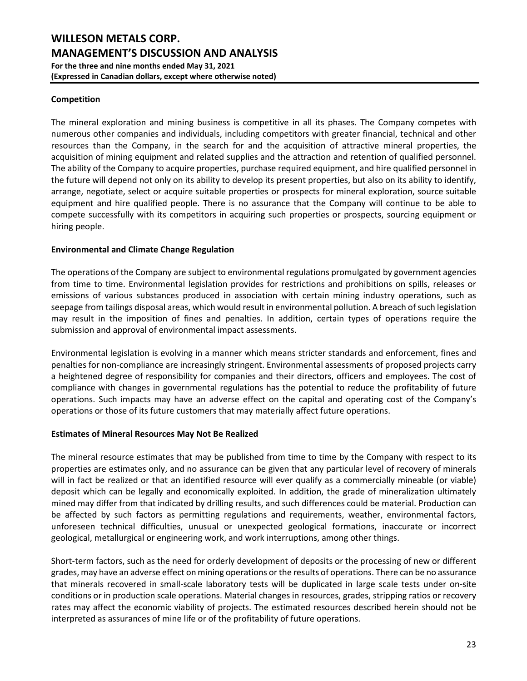### **Competition**

The mineral exploration and mining business is competitive in all its phases. The Company competes with numerous other companies and individuals, including competitors with greater financial, technical and other resources than the Company, in the search for and the acquisition of attractive mineral properties, the acquisition of mining equipment and related supplies and the attraction and retention of qualified personnel. The ability of the Company to acquire properties, purchase required equipment, and hire qualified personnel in the future will depend not only on its ability to develop its present properties, but also on its ability to identify, arrange, negotiate, select or acquire suitable properties or prospects for mineral exploration, source suitable equipment and hire qualified people. There is no assurance that the Company will continue to be able to compete successfully with its competitors in acquiring such properties or prospects, sourcing equipment or hiring people.

### **Environmental and Climate Change Regulation**

The operations of the Company are subject to environmental regulations promulgated by government agencies from time to time. Environmental legislation provides for restrictions and prohibitions on spills, releases or emissions of various substances produced in association with certain mining industry operations, such as seepage from tailings disposal areas, which would result in environmental pollution. A breach of such legislation may result in the imposition of fines and penalties. In addition, certain types of operations require the submission and approval of environmental impact assessments.

Environmental legislation is evolving in a manner which means stricter standards and enforcement, fines and penalties for non-compliance are increasingly stringent. Environmental assessments of proposed projects carry a heightened degree of responsibility for companies and their directors, officers and employees. The cost of compliance with changes in governmental regulations has the potential to reduce the profitability of future operations. Such impacts may have an adverse effect on the capital and operating cost of the Company's operations or those of its future customers that may materially affect future operations.

### **Estimates of Mineral Resources May Not Be Realized**

The mineral resource estimates that may be published from time to time by the Company with respect to its properties are estimates only, and no assurance can be given that any particular level of recovery of minerals will in fact be realized or that an identified resource will ever qualify as a commercially mineable (or viable) deposit which can be legally and economically exploited. In addition, the grade of mineralization ultimately mined may differ from that indicated by drilling results, and such differences could be material. Production can be affected by such factors as permitting regulations and requirements, weather, environmental factors, unforeseen technical difficulties, unusual or unexpected geological formations, inaccurate or incorrect geological, metallurgical or engineering work, and work interruptions, among other things.

Short-term factors, such as the need for orderly development of deposits or the processing of new or different grades, may have an adverse effect on mining operations or the results of operations. There can be no assurance that minerals recovered in small-scale laboratory tests will be duplicated in large scale tests under on-site conditions or in production scale operations. Material changes in resources, grades, stripping ratios or recovery rates may affect the economic viability of projects. The estimated resources described herein should not be interpreted as assurances of mine life or of the profitability of future operations.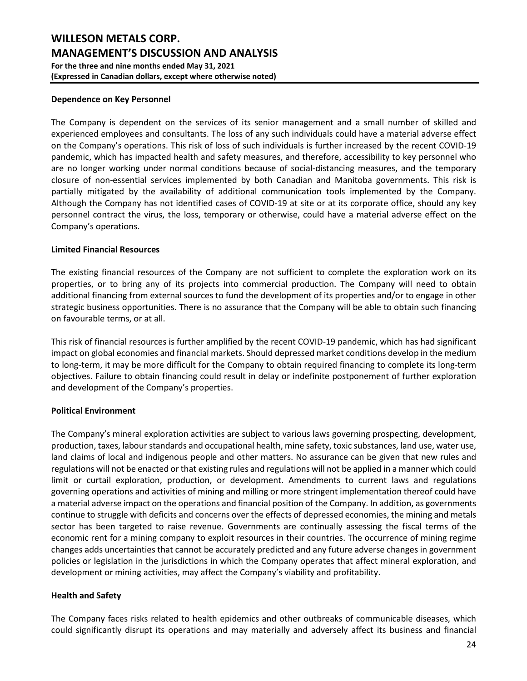#### **Dependence on Key Personnel**

The Company is dependent on the services of its senior management and a small number of skilled and experienced employees and consultants. The loss of any such individuals could have a material adverse effect on the Company's operations. This risk of loss of such individuals is further increased by the recent COVID-19 pandemic, which has impacted health and safety measures, and therefore, accessibility to key personnel who are no longer working under normal conditions because of social-distancing measures, and the temporary closure of non-essential services implemented by both Canadian and Manitoba governments. This risk is partially mitigated by the availability of additional communication tools implemented by the Company. Although the Company has not identified cases of COVID-19 at site or at its corporate office, should any key personnel contract the virus, the loss, temporary or otherwise, could have a material adverse effect on the Company's operations.

#### **Limited Financial Resources**

The existing financial resources of the Company are not sufficient to complete the exploration work on its properties, or to bring any of its projects into commercial production. The Company will need to obtain additional financing from external sources to fund the development of its properties and/or to engage in other strategic business opportunities. There is no assurance that the Company will be able to obtain such financing on favourable terms, or at all.

This risk of financial resources is further amplified by the recent COVID-19 pandemic, which has had significant impact on global economies and financial markets. Should depressed market conditions develop in the medium to long-term, it may be more difficult for the Company to obtain required financing to complete its long-term objectives. Failure to obtain financing could result in delay or indefinite postponement of further exploration and development of the Company's properties.

### **Political Environment**

The Company's mineral exploration activities are subject to various laws governing prospecting, development, production, taxes, labour standards and occupational health, mine safety, toxic substances, land use, water use, land claims of local and indigenous people and other matters. No assurance can be given that new rules and regulations will not be enacted or that existing rules and regulations will not be applied in a manner which could limit or curtail exploration, production, or development. Amendments to current laws and regulations governing operations and activities of mining and milling or more stringent implementation thereof could have a material adverse impact on the operations and financial position of the Company. In addition, as governments continue to struggle with deficits and concerns over the effects of depressed economies, the mining and metals sector has been targeted to raise revenue. Governments are continually assessing the fiscal terms of the economic rent for a mining company to exploit resources in their countries. The occurrence of mining regime changes adds uncertainties that cannot be accurately predicted and any future adverse changes in government policies or legislation in the jurisdictions in which the Company operates that affect mineral exploration, and development or mining activities, may affect the Company's viability and profitability.

### **Health and Safety**

The Company faces risks related to health epidemics and other outbreaks of communicable diseases, which could significantly disrupt its operations and may materially and adversely affect its business and financial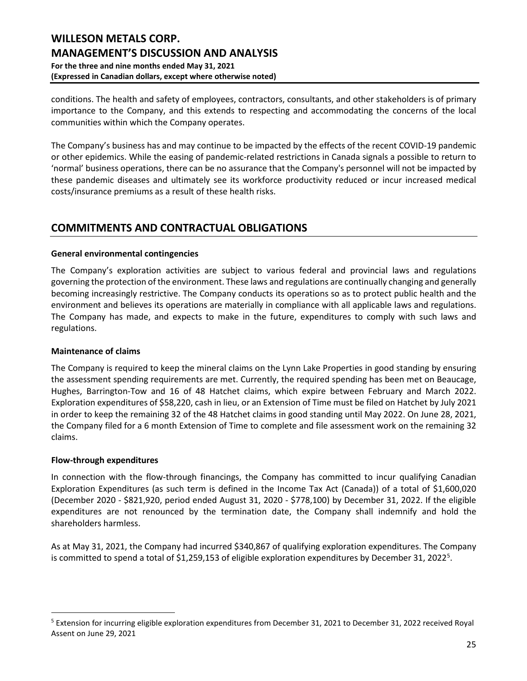conditions. The health and safety of employees, contractors, consultants, and other stakeholders is of primary importance to the Company, and this extends to respecting and accommodating the concerns of the local communities within which the Company operates.

The Company's business has and may continue to be impacted by the effects of the recent COVID-19 pandemic or other epidemics. While the easing of pandemic-related restrictions in Canada signals a possible to return to 'normal' business operations, there can be no assurance that the Company's personnel will not be impacted by these pandemic diseases and ultimately see its workforce productivity reduced or incur increased medical costs/insurance premiums as a result of these health risks.

# **COMMITMENTS AND CONTRACTUAL OBLIGATIONS**

### **General environmental contingencies**

The Company's exploration activities are subject to various federal and provincial laws and regulations governing the protection of the environment. These laws and regulations are continually changing and generally becoming increasingly restrictive. The Company conducts its operations so as to protect public health and the environment and believes its operations are materially in compliance with all applicable laws and regulations. The Company has made, and expects to make in the future, expenditures to comply with such laws and regulations.

### **Maintenance of claims**

The Company is required to keep the mineral claims on the Lynn Lake Properties in good standing by ensuring the assessment spending requirements are met. Currently, the required spending has been met on Beaucage, Hughes, Barrington-Tow and 16 of 48 Hatchet claims, which expire between February and March 2022. Exploration expenditures of \$58,220, cash in lieu, or an Extension of Time must be filed on Hatchet by July 2021 in order to keep the remaining 32 of the 48 Hatchet claims in good standing until May 2022. On June 28, 2021, the Company filed for a 6 month Extension of Time to complete and file assessment work on the remaining 32 claims.

### **Flow-through expenditures**

In connection with the flow-through financings, the Company has committed to incur qualifying Canadian Exploration Expenditures (as such term is defined in the Income Tax Act (Canada)) of a total of \$1,600,020 (December 2020 - \$821,920, period ended August 31, 2020 - \$778,100) by December 31, 2022. If the eligible expenditures are not renounced by the termination date, the Company shall indemnify and hold the shareholders harmless.

As at May 31, 2021, the Company had incurred \$340,867 of qualifying exploration expenditures. The Company is committed to spend a total of \$1,2[5](#page-24-0)9,153 of eligible exploration expenditures by December 31, 2022<sup>5</sup>.

<span id="page-24-0"></span><sup>&</sup>lt;sup>5</sup> Extension for incurring eligible exploration expenditures from December 31, 2021 to December 31, 2022 received Royal Assent on June 29, 2021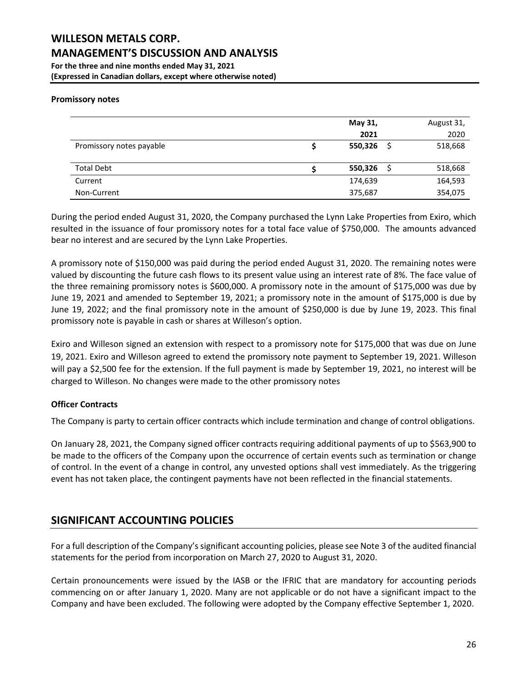#### **Promissory notes**

|                          | May 31, | August 31, |
|--------------------------|---------|------------|
|                          | 2021    | 2020       |
| Promissory notes payable | 550,326 | 518,668    |
|                          |         |            |
| <b>Total Debt</b>        | 550,326 | 518,668    |
| Current                  | 174,639 | 164,593    |
| Non-Current              | 375,687 | 354,075    |

During the period ended August 31, 2020, the Company purchased the Lynn Lake Properties from Exiro, which resulted in the issuance of four promissory notes for a total face value of \$750,000. The amounts advanced bear no interest and are secured by the Lynn Lake Properties.

A promissory note of \$150,000 was paid during the period ended August 31, 2020. The remaining notes were valued by discounting the future cash flows to its present value using an interest rate of 8%. The face value of the three remaining promissory notes is \$600,000. A promissory note in the amount of \$175,000 was due by June 19, 2021 and amended to September 19, 2021; a promissory note in the amount of \$175,000 is due by June 19, 2022; and the final promissory note in the amount of \$250,000 is due by June 19, 2023. This final promissory note is payable in cash or shares at Willeson's option.

Exiro and Willeson signed an extension with respect to a promissory note for \$175,000 that was due on June 19, 2021. Exiro and Willeson agreed to extend the promissory note payment to September 19, 2021. Willeson will pay a \$2,500 fee for the extension. If the full payment is made by September 19, 2021, no interest will be charged to Willeson. No changes were made to the other promissory notes

### **Officer Contracts**

The Company is party to certain officer contracts which include termination and change of control obligations.

On January 28, 2021, the Company signed officer contracts requiring additional payments of up to \$563,900 to be made to the officers of the Company upon the occurrence of certain events such as termination or change of control. In the event of a change in control, any unvested options shall vest immediately. As the triggering event has not taken place, the contingent payments have not been reflected in the financial statements.

### **SIGNIFICANT ACCOUNTING POLICIES**

For a full description of the Company's significant accounting policies, please see Note 3 of the audited financial statements for the period from incorporation on March 27, 2020 to August 31, 2020.

Certain pronouncements were issued by the IASB or the IFRIC that are mandatory for accounting periods commencing on or after January 1, 2020. Many are not applicable or do not have a significant impact to the Company and have been excluded. The following were adopted by the Company effective September 1, 2020.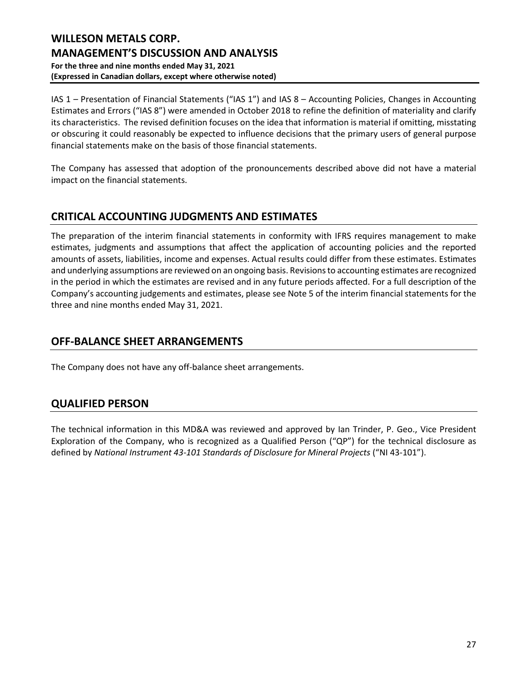IAS 1 – Presentation of Financial Statements ("IAS 1") and IAS 8 – Accounting Policies, Changes in Accounting Estimates and Errors ("IAS 8") were amended in October 2018 to refine the definition of materiality and clarify its characteristics. The revised definition focuses on the idea that information is material if omitting, misstating or obscuring it could reasonably be expected to influence decisions that the primary users of general purpose financial statements make on the basis of those financial statements.

The Company has assessed that adoption of the pronouncements described above did not have a material impact on the financial statements.

# **CRITICAL ACCOUNTING JUDGMENTS AND ESTIMATES**

The preparation of the interim financial statements in conformity with IFRS requires management to make estimates, judgments and assumptions that affect the application of accounting policies and the reported amounts of assets, liabilities, income and expenses. Actual results could differ from these estimates. Estimates and underlying assumptions are reviewed on an ongoing basis. Revisions to accounting estimates are recognized in the period in which the estimates are revised and in any future periods affected. For a full description of the Company's accounting judgements and estimates, please see Note 5 of the interim financial statements for the three and nine months ended May 31, 2021.

# **OFF-BALANCE SHEET ARRANGEMENTS**

The Company does not have any off-balance sheet arrangements.

# **QUALIFIED PERSON**

The technical information in this MD&A was reviewed and approved by Ian Trinder, P. Geo., Vice President Exploration of the Company, who is recognized as a Qualified Person ("QP") for the technical disclosure as defined by *National Instrument 43-101 Standards of Disclosure for Mineral Projects* ("NI 43-101").